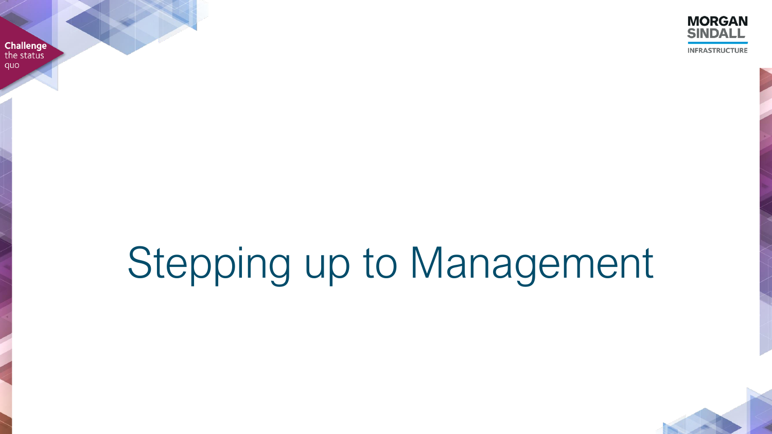

# Stepping up to Management

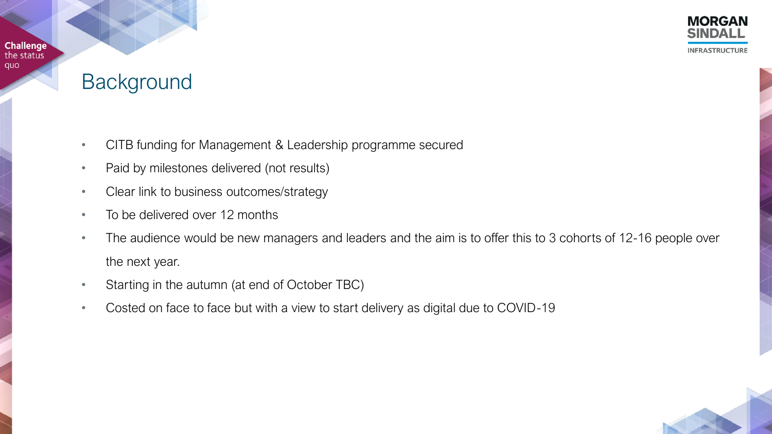**MORGAN INFRASTRUCTURE** 

## **Background**

**Challenge** 

the status quo

- CITB funding for Management & Leadership programme secured
- Paid by milestones delivered (not results)
- Clear link to business outcomes/strategy
- To be delivered over 12 months
- The audience would be new managers and leaders and the aim is to offer this to 3 cohorts of 12-16 people over the next year.
- Starting in the autumn (at end of October TBC)
- Costed on face to face but with a view to start delivery as digital due to COVID-19

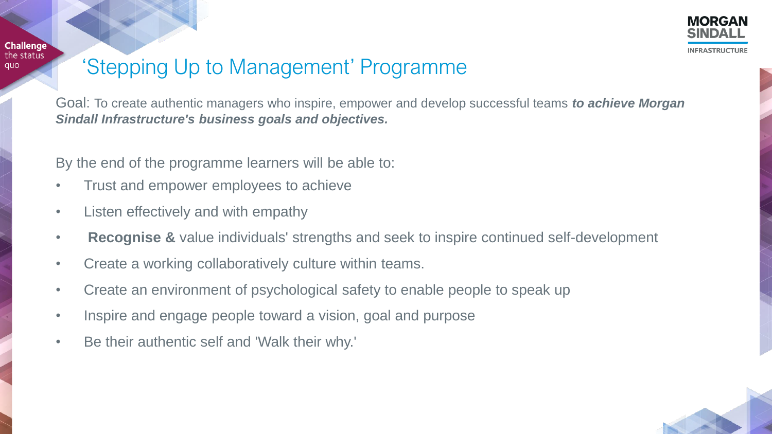## 'Stepping Up to Management' Programme

Goal: To create authentic managers who inspire, empower and develop successful teams *to achieve Morgan Sindall Infrastructure's business goals and objectives.*

By the end of the programme learners will be able to:

- Trust and empower employees to achieve
- Listen effectively and with empathy
- **Recognise &** value individuals' strengths and seek to inspire continued self-development
- Create a working collaboratively culture within teams.
- Create an environment of psychological safety to enable people to speak up
- Inspire and engage people toward a vision, goal and purpose
- Be their authentic self and 'Walk their why.'



**MORGAN**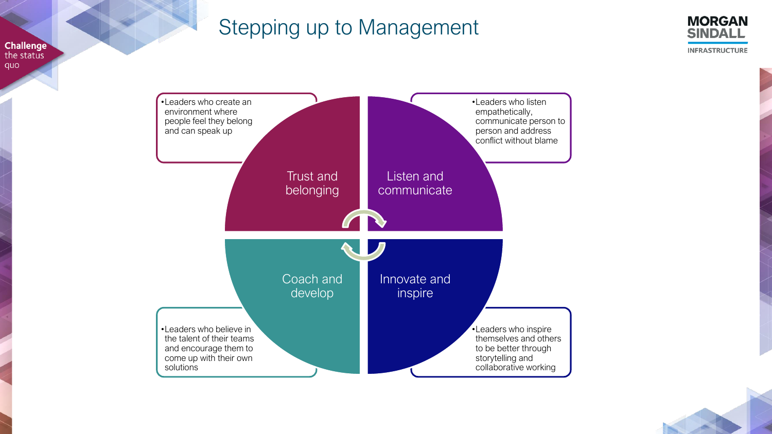## Stepping up to Management



•Leaders who inspire themselves and others to be better through storytelling and collaborative working •Leaders who believe in the talent of their teams and encourage them to come up with their own solutions •Leaders who listen empathetically, communicate person to person and address conflict without blame •Leaders who create an environment where people feel they belong and can speak up Trust and belonging Listen and communicate Innovate and inspire Coach and develop

**Challenge** the status quo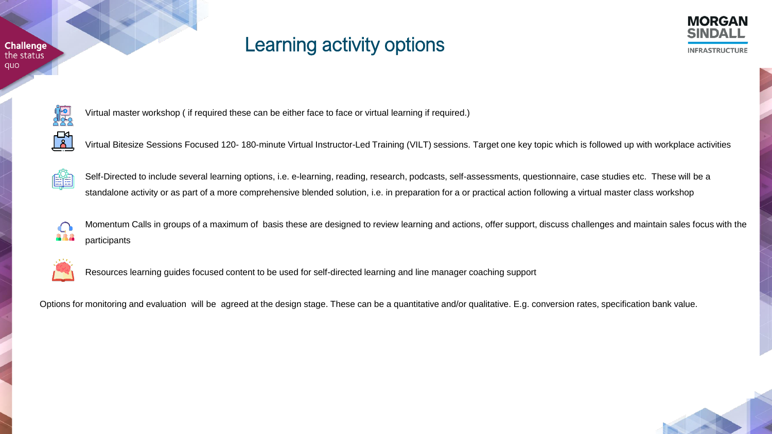#### Learning activity options





Virtual master workshop ( if required these can be either face to face or virtual learning if required.)

Virtual Bitesize Sessions Focused 120- 180-minute Virtual Instructor-Led Training (VILT) sessions. Target one key topic which is followed up with workplace activities



Self-Directed to include several learning options, i.e. e-learning, reading, research, podcasts, self-assessments, questionnaire, case studies etc. These will be a standalone activity or as part of a more comprehensive blended solution, i.e. in preparation for a or practical action following a virtual master class workshop



Momentum Calls in groups of a maximum of basis these are designed to review learning and actions, offer support, discuss challenges and maintain sales focus with the participants



Resources learning guides focused content to be used for self-directed learning and line manager coaching support

Options for monitoring and evaluation will be agreed at the design stage. These can be a quantitative and/or qualitative. E.g. conversion rates, specification bank value.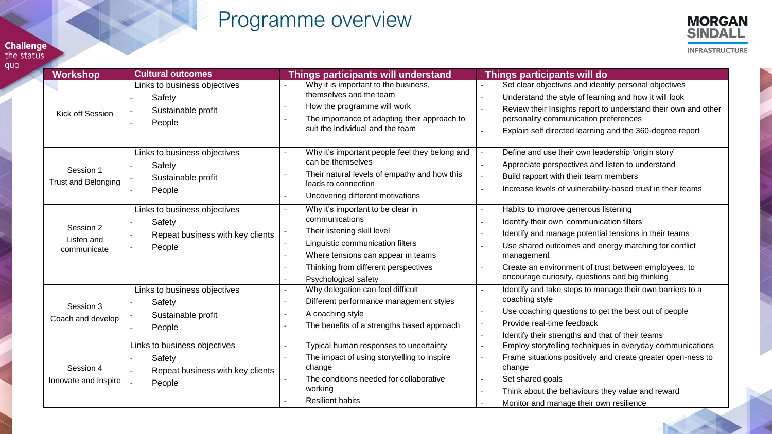## Programme overview



| <b>Challenge</b> |
|------------------|
| the status       |
| quo              |

| <b>Workshop</b>                         | <b>Cultural outcomes</b>                                                             | <b>Things participants will understand</b>                                                                                                                                                                                   | Things participants will do                                                                                                                                                                                                                                                                                                  |  |  |
|-----------------------------------------|--------------------------------------------------------------------------------------|------------------------------------------------------------------------------------------------------------------------------------------------------------------------------------------------------------------------------|------------------------------------------------------------------------------------------------------------------------------------------------------------------------------------------------------------------------------------------------------------------------------------------------------------------------------|--|--|
| <b>Kick off Session</b>                 | Links to business objectives<br>Safety<br>Sustainable profit<br>People               | Why it is important to the business,<br>themselves and the team<br>How the programme will work<br>The importance of adapting their approach to<br>suit the individual and the team                                           | Set clear objectives and identify personal objectives<br>Understand the style of learning and how it will look<br>Review their Insights report to understand their own and other<br>personality communication preferences<br>Explain self directed learning and the 360-degree report                                        |  |  |
| Session 1<br><b>Trust and Belonging</b> | Links to business objectives<br>Safety<br>Sustainable profit<br>People               | Why it's important people feel they belong and<br>can be themselves<br>Their natural levels of empathy and how this<br>leads to connection<br>Uncovering different motivations                                               | Define and use their own leadership 'origin story'<br>Appreciate perspectives and listen to understand<br>Build rapport with their team members<br>Increase levels of vulnerability-based trust in their teams                                                                                                               |  |  |
| Session 2<br>Listen and<br>communicate  | Links to business objectives<br>Safety<br>Repeat business with key clients<br>People | Why it's important to be clear in<br>communications<br>Their listening skill level<br>Linguistic communication filters<br>Where tensions can appear in teams<br>Thinking from different perspectives<br>Psychological safety | Habits to improve generous listening<br>Identify their own 'communication filters'<br>Identify and manage potential tensions in their teams<br>Use shared outcomes and energy matching for conflict<br>management<br>Create an environment of trust between employees, to<br>encourage curiosity, questions and big thinking |  |  |
| Session 3<br>Coach and develop          | Links to business objectives<br>Safety<br>Sustainable profit<br>People               | Why delegation can feel difficult<br>Different performance management styles<br>A coaching style<br>The benefits of a strengths based approach                                                                               | Identify and take steps to manage their own barriers to a<br>coaching style<br>Use coaching questions to get the best out of people<br>$\overline{a}$<br>Provide real-time feedback<br>Identify their strengths and that of their teams                                                                                      |  |  |
| Session 4<br>Innovate and Inspire       | Links to business objectives<br>Safety<br>Repeat business with key clients<br>People | Typical human responses to uncertainty<br>The impact of using storytelling to inspire<br>change<br>The conditions needed for collaborative<br>working<br><b>Resilient habits</b>                                             | Employ storytelling techniques in everyday communications<br>Frame situations positively and create greater open-ness to<br>change<br>Set shared goals<br>Think about the behaviours they value and reward<br>Monitor and manage their own resilience                                                                        |  |  |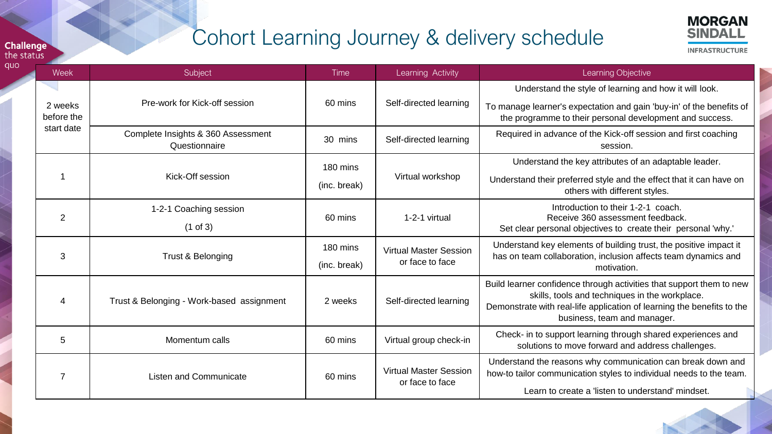#### **Challenge**<br>the status

quo

## Cohort Learning Journey & delivery schedule

**MORGAN SINDALL** 

|   | Week                  | Subject                                             | <b>Time</b>  | Learning Activity                                | Learning Objective                                                                                                                                                                                                              |
|---|-----------------------|-----------------------------------------------------|--------------|--------------------------------------------------|---------------------------------------------------------------------------------------------------------------------------------------------------------------------------------------------------------------------------------|
|   |                       | Pre-work for Kick-off session                       | 60 mins      | Self-directed learning                           | Understand the style of learning and how it will look.                                                                                                                                                                          |
|   | 2 weeks<br>before the |                                                     |              |                                                  | To manage learner's expectation and gain 'buy-in' of the benefits of<br>the programme to their personal development and success.                                                                                                |
|   | start date            | Complete Insights & 360 Assessment<br>Questionnaire | 30 mins      | Self-directed learning                           | Required in advance of the Kick-off session and first coaching<br>session.                                                                                                                                                      |
|   |                       | Kick-Off session                                    | 180 mins     | Virtual workshop                                 | Understand the key attributes of an adaptable leader.                                                                                                                                                                           |
|   |                       |                                                     | (inc. break) |                                                  | Understand their preferred style and the effect that it can have on<br>others with different styles.                                                                                                                            |
|   | $\overline{2}$        | 1-2-1 Coaching session<br>$(1 \text{ of } 3)$       | 60 mins      | 1-2-1 virtual                                    | Introduction to their 1-2-1 coach.<br>Receive 360 assessment feedback.<br>Set clear personal objectives to create their personal 'why.'                                                                                         |
|   |                       | Trust & Belonging                                   | 180 mins     | <b>Virtual Master Session</b><br>or face to face | Understand key elements of building trust, the positive impact it                                                                                                                                                               |
|   | 3                     |                                                     | (inc. break) |                                                  | has on team collaboration, inclusion affects team dynamics and<br>motivation.                                                                                                                                                   |
|   | $\overline{4}$        | Trust & Belonging - Work-based assignment           | 2 weeks      | Self-directed learning                           | Build learner confidence through activities that support them to new<br>skills, tools and techniques in the workplace.<br>Demonstrate with real-life application of learning the benefits to the<br>business, team and manager. |
|   | 5                     | Momentum calls                                      | 60 mins      | Virtual group check-in                           | Check- in to support learning through shared experiences and<br>solutions to move forward and address challenges.                                                                                                               |
| 7 |                       | <b>Listen and Communicate</b>                       | 60 mins      | <b>Virtual Master Session</b><br>or face to face | Understand the reasons why communication can break down and<br>how-to tailor communication styles to individual needs to the team.<br>Learn to create a 'listen to understand' mindset.                                         |
|   |                       |                                                     |              |                                                  |                                                                                                                                                                                                                                 |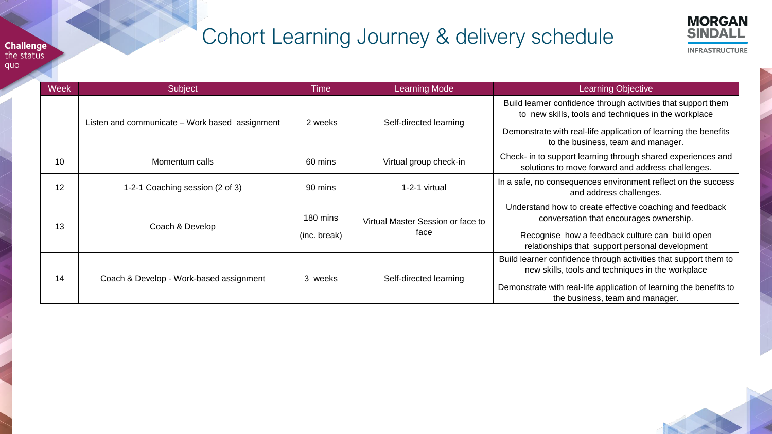#### **Challenge** quo

# Cohort Learning Journey & delivery schedule



| Week | Subject                                        | Time                     | <b>Learning Mode</b>                      | <b>Learning Objective</b>                                                                                                                                                                                                      |
|------|------------------------------------------------|--------------------------|-------------------------------------------|--------------------------------------------------------------------------------------------------------------------------------------------------------------------------------------------------------------------------------|
|      | Listen and communicate - Work based assignment | 2 weeks                  | Self-directed learning                    | Build learner confidence through activities that support them<br>to new skills, tools and techniques in the workplace<br>Demonstrate with real-life application of learning the benefits<br>to the business, team and manager. |
| 10   | Momentum calls                                 | 60 mins                  | Virtual group check-in                    | Check- in to support learning through shared experiences and<br>solutions to move forward and address challenges.                                                                                                              |
| 12   | 1-2-1 Coaching session (2 of 3)                | 90 mins                  | 1-2-1 virtual                             | In a safe, no consequences environment reflect on the success<br>and address challenges.                                                                                                                                       |
| 13   | Coach & Develop                                | 180 mins<br>(inc. break) | Virtual Master Session or face to<br>face | Understand how to create effective coaching and feedback<br>conversation that encourages ownership.<br>Recognise how a feedback culture can build open<br>relationships that support personal development                      |
| 14   | Coach & Develop - Work-based assignment        | 3 weeks                  | Self-directed learning                    | Build learner confidence through activities that support them to<br>new skills, tools and techniques in the workplace<br>Demonstrate with real-life application of learning the benefits to<br>the business, team and manager. |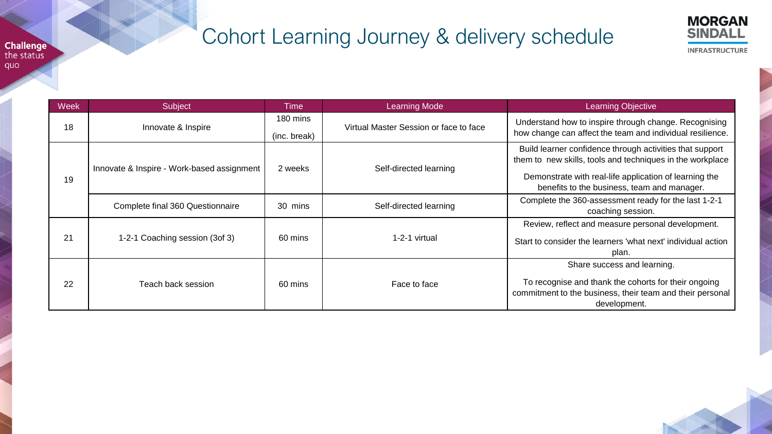# Cohort Learning Journey & delivery schedule



Week Subject Subject Time Learning Mode Communication Cearning Mode 18 | Innovate & Inspire 180 mins (inc. break) Virtual Master Session or face to face Understand how to inspire through change. Recognising how change can affect the team and individual resilience. 19 Innovate & Inspire - Work-based assignment | 2 weeks | Self-directed learning Build learner confidence through activities that support them to new skills, tools and techniques in the workplace Demonstrate with real-life application of learning the benefits to the business, team and manager. Complete final 360 Questionnaire 30 mins 30 mins Self-directed learning Complete the 360-assessment ready for the last 1-2-1 coaching session. 21 | 1-2-1 Coaching session (3of 3) | 60 mins | 1-2-1 virtual Review, reflect and measure personal development. Start to consider the learners 'what next' individual action plan. 22 | Teach back session | 60 mins | Face to face Share success and learning. To recognise and thank the cohorts for their ongoing commitment to the business, their team and their personal development.